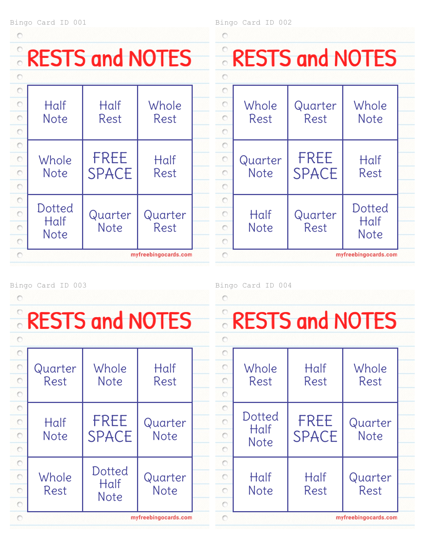#### Bingo Card ID 001

 $\circ$ 

## RESTS and NOTES

|         | Half<br><b>Note</b>           | Half<br>Rest                | Whole<br>Rest   |  |  |  |  |
|---------|-------------------------------|-----------------------------|-----------------|--|--|--|--|
|         | Whole<br><b>Note</b>          | <b>FREE</b><br><b>SPACE</b> | Half<br>Rest    |  |  |  |  |
| $\circ$ | Dotted<br>Half<br><b>Note</b> | Quarter<br><b>Note</b>      | Quarter<br>Rest |  |  |  |  |
|         | myfreebingocards.com          |                             |                 |  |  |  |  |

Bingo Card ID 002

 $\circ$ 

| <b>RESTS and NOTES</b> |                      |              |             |  |  |  |  |  |
|------------------------|----------------------|--------------|-------------|--|--|--|--|--|
|                        |                      |              |             |  |  |  |  |  |
|                        |                      |              |             |  |  |  |  |  |
| $\frac{1}{2}$          | Whole                | Quarter      | Whole       |  |  |  |  |  |
|                        | Rest                 | Rest         | <b>Note</b> |  |  |  |  |  |
| $\circ$                |                      |              |             |  |  |  |  |  |
| $\overline{\circ}$     |                      |              |             |  |  |  |  |  |
| $\circ$                | Quarter              | <b>FREE</b>  | Half        |  |  |  |  |  |
| $\circ$                | <b>Note</b>          | <b>SPACE</b> | Rest        |  |  |  |  |  |
| $\circ$                |                      |              |             |  |  |  |  |  |
| $\circ$                |                      |              |             |  |  |  |  |  |
| $\overline{\circ}$     | Half                 | Quarter      | Dotted      |  |  |  |  |  |
|                        | <b>Note</b>          | Rest         | Half        |  |  |  |  |  |
|                        |                      |              | <b>Note</b> |  |  |  |  |  |
|                        | myfreebingocards.com |              |             |  |  |  |  |  |

### Bingo Card ID 003

 $\circ$ 

# RESTS and NOTES

| $\circ$<br>$\circ$ | Quarter<br>Rest      | Whole<br><b>Note</b>          | Half<br>Rest           |  |  |  |  |
|--------------------|----------------------|-------------------------------|------------------------|--|--|--|--|
| $\circ$            | Half<br><b>Note</b>  | <b>FREE</b><br><b>SPACE</b>   | Quarter<br><b>Note</b> |  |  |  |  |
| O<br>Ō             | Whole<br>Rest        | Dotted<br>Half<br><b>Note</b> | Quarter<br><b>Note</b> |  |  |  |  |
|                    | myfreebingocards.com |                               |                        |  |  |  |  |

Bingo Card ID 004